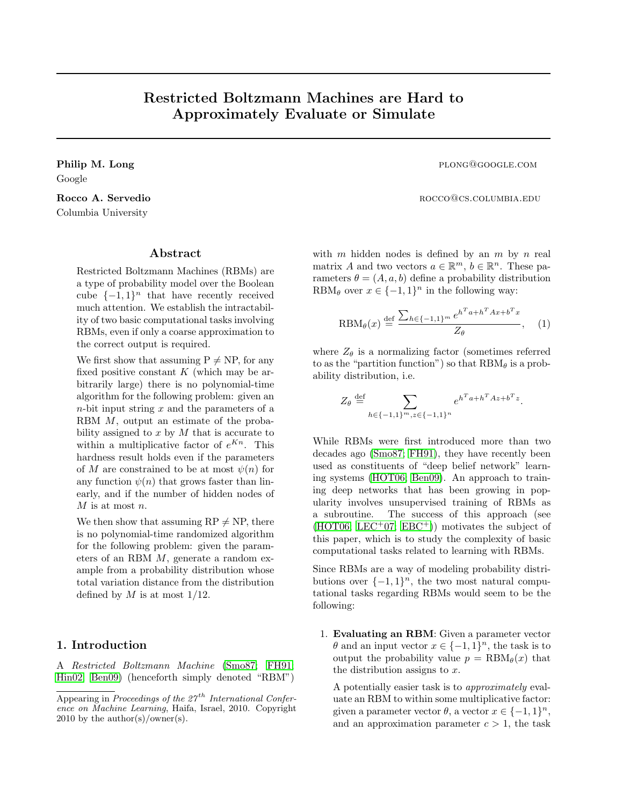# Restricted Boltzmann Machines are Hard to Approximately Evaluate or Simulate

Google

Columbia University

### Abstract

Restricted Boltzmann Machines (RBMs) are a type of probability model over the Boolean cube  $\{-1,1\}^n$  that have recently received much attention. We establish the intractability of two basic computational tasks involving RBMs, even if only a coarse approximation to the correct output is required.

We first show that assuming  $P \neq NP$ , for any fixed positive constant  $K$  (which may be arbitrarily large) there is no polynomial-time algorithm for the following problem: given an  $n$ -bit input string  $x$  and the parameters of a RBM M, output an estimate of the probability assigned to  $x$  by  $M$  that is accurate to within a multiplicative factor of  $e^{Kn}$ . This hardness result holds even if the parameters of M are constrained to be at most  $\psi(n)$  for any function  $\psi(n)$  that grows faster than linearly, and if the number of hidden nodes of  $M$  is at most  $n.$ 

We then show that assuming  $RP \neq NP$ , there is no polynomial-time randomized algorithm for the following problem: given the parameters of an RBM M, generate a random example from a probability distribution whose total variation distance from the distribution defined by  $M$  is at most  $1/12$ .

# 1. Introduction

A Restricted Boltzmann Machine [\(Smo87;](#page-7-0) [FH91;](#page-7-1) [Hin02;](#page-7-2) [Ben09\)](#page-6-0) (henceforth simply denoted "RBM")

Philip M. Long plong@google.com

Rocco A. Servedio **Rocco** A. Servedio

with m hidden nodes is defined by an m by n real matrix A and two vectors  $a \in \mathbb{R}^m$ ,  $b \in \mathbb{R}^n$ . These parameters  $\theta = (A, a, b)$  define a probability distribution RBM $_{\theta}$  over  $x \in \{-1,1\}^n$  in the following way:

<span id="page-0-0"></span>
$$
\text{RBM}_{\theta}(x) \stackrel{\text{def}}{=} \frac{\sum_{h \in \{-1,1\}^m} e^{h^T a + h^T A x + b^T x}}{Z_{\theta}}, \quad (1)
$$

where  $Z_{\theta}$  is a normalizing factor (sometimes referred to as the "partition function") so that  $RBM_{\theta}$  is a probability distribution, i.e.

$$
Z_{\theta} \stackrel{\text{def}}{=} \sum_{h \in \{-1, 1\}^m, z \in \{-1, 1\}^n} e^{h^T a + h^T A z + b^T z}.
$$

While RBMs were first introduced more than two decades ago [\(Smo87;](#page-7-0) [FH91\)](#page-7-1), they have recently been used as constituents of "deep belief network" learning systems [\(HOT06;](#page-7-3) [Ben09\)](#page-6-0). An approach to training deep networks that has been growing in popularity involves unsupervised training of RBMs as a subroutine. The success of this approach (see  $(HOTO6; LEC<sup>+</sup>07; EBC<sup>+</sup>))$  $(HOTO6; LEC<sup>+</sup>07; EBC<sup>+</sup>))$  $(HOTO6; LEC<sup>+</sup>07; EBC<sup>+</sup>))$  $(HOTO6; LEC<sup>+</sup>07; EBC<sup>+</sup>))$  $(HOTO6; LEC<sup>+</sup>07; EBC<sup>+</sup>))$  motivates the subject of this paper, which is to study the complexity of basic computational tasks related to learning with RBMs.

Since RBMs are a way of modeling probability distributions over  $\{-1,1\}^n$ , the two most natural computational tasks regarding RBMs would seem to be the following:

1. Evaluating an RBM: Given a parameter vector  $\theta$  and an input vector  $x \in \{-1,1\}^n$ , the task is to output the probability value  $p = \text{RBM}_{\theta}(x)$  that the distribution assigns to  $x$ .

A potentially easier task is to approximately evaluate an RBM to within some multiplicative factor: given a parameter vector  $\theta$ , a vector  $x \in \{-1,1\}^n$ , and an approximation parameter  $c > 1$ , the task

Appearing in Proceedings of the  $27<sup>th</sup>$  International Conference on Machine Learning, Haifa, Israel, 2010. Copyright 2010 by the author(s)/owner(s).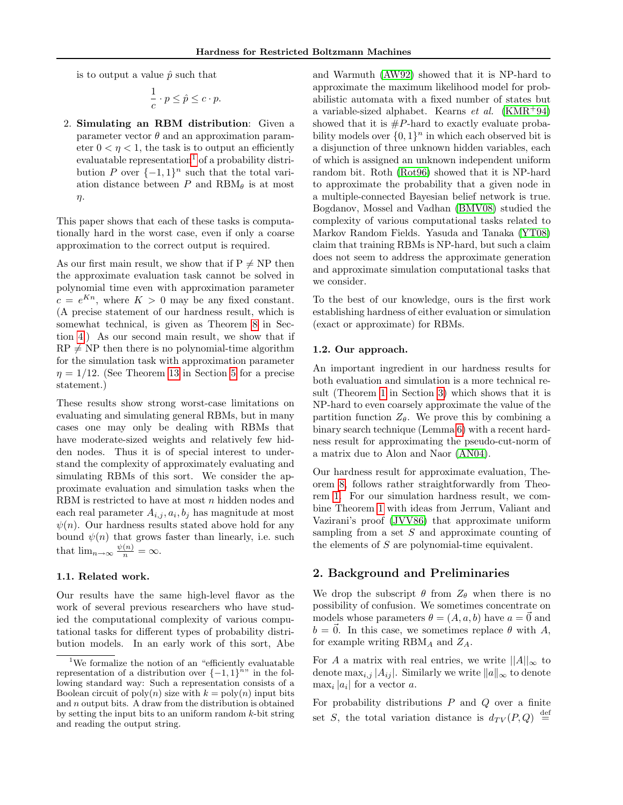is to output a value  $\hat{p}$  such that

$$
\frac{1}{c} \cdot p \le \hat{p} \le c \cdot p.
$$

2. Simulating an RBM distribution: Given a parameter vector  $\theta$  and an approximation parameter  $0 \leq \eta \leq 1$ , the task is to output an efficiently evaluatable representation<sup>[1](#page-1-0)</sup> of a probability distribution P over  $\{-1,1\}^n$  such that the total variation distance between P and  $RBM_{\theta}$  is at most η.

This paper shows that each of these tasks is computationally hard in the worst case, even if only a coarse approximation to the correct output is required.

As our first main result, we show that if  $P \neq NP$  then the approximate evaluation task cannot be solved in polynomial time even with approximation parameter  $c = e^{Kn}$ , where  $K > 0$  may be any fixed constant. (A precise statement of our hardness result, which is somewhat technical, is given as Theorem [8](#page-3-0) in Section [4.](#page-3-1)) As our second main result, we show that if  $RP \neq NP$  then there is no polynomial-time algorithm for the simulation task with approximation parameter  $\eta = 1/12$ . (See Theorem [13](#page-5-0) in Section [5](#page-4-0) for a precise statement.)

These results show strong worst-case limitations on evaluating and simulating general RBMs, but in many cases one may only be dealing with RBMs that have moderate-sized weights and relatively few hidden nodes. Thus it is of special interest to understand the complexity of approximately evaluating and simulating RBMs of this sort. We consider the approximate evaluation and simulation tasks when the RBM is restricted to have at most  $n$  hidden nodes and each real parameter  $A_{i,j}, a_i, b_j$  has magnitude at most  $\psi(n)$ . Our hardness results stated above hold for any bound  $\psi(n)$  that grows faster than linearly, i.e. such that  $\lim_{n\to\infty} \frac{\psi(n)}{n} = \infty$ .

### 1.1. Related work.

Our results have the same high-level flavor as the work of several previous researchers who have studied the computational complexity of various computational tasks for different types of probability distribution models. In an early work of this sort, Abe and Warmuth [\(AW92\)](#page-6-1) showed that it is NP-hard to approximate the maximum likelihood model for probabilistic automata with a fixed number of states but a variable-sized alphabet. Kearns et al.  $(KMR+94)$  $(KMR+94)$ showed that it is  $#P$ -hard to exactly evaluate probability models over  $\{0,1\}^n$  in which each observed bit is a disjunction of three unknown hidden variables, each of which is assigned an unknown independent uniform random bit. Roth [\(Rot96\)](#page-7-7) showed that it is NP-hard to approximate the probability that a given node in a multiple-connected Bayesian belief network is true. Bogdanov, Mossel and Vadhan [\(BMV08\)](#page-7-8) studied the complexity of various computational tasks related to Markov Random Fields. Yasuda and Tanaka [\(YT08\)](#page-7-9) claim that training RBMs is NP-hard, but such a claim does not seem to address the approximate generation and approximate simulation computational tasks that we consider.

To the best of our knowledge, ours is the first work establishing hardness of either evaluation or simulation (exact or approximate) for RBMs.

#### 1.2. Our approach.

An important ingredient in our hardness results for both evaluation and simulation is a more technical result (Theorem [1](#page-2-0) in Section [3\)](#page-2-1) which shows that it is NP-hard to even coarsely approximate the value of the partition function  $Z_{\theta}$ . We prove this by combining a binary search technique (Lemma [6\)](#page-2-2) with a recent hardness result for approximating the pseudo-cut-norm of a matrix due to Alon and Naor [\(AN04\)](#page-6-2).

Our hardness result for approximate evaluation, Theorem [8,](#page-3-0) follows rather straightforwardly from Theorem [1.](#page-2-0) For our simulation hardness result, we combine Theorem [1](#page-2-0) with ideas from Jerrum, Valiant and Vazirani's proof [\(JVV86\)](#page-7-10) that approximate uniform sampling from a set S and approximate counting of the elements of S are polynomial-time equivalent.

### 2. Background and Preliminaries

We drop the subscript  $\theta$  from  $Z_{\theta}$  when there is no possibility of confusion. We sometimes concentrate on models whose parameters  $\theta = (A, a, b)$  have  $a = \vec{0}$  and  $b = \overline{0}$ . In this case, we sometimes replace  $\theta$  with A, for example writing  $RBM_A$  and  $Z_A$ .

For A a matrix with real entries, we write  $||A||_{\infty}$  to denote  $\max_{i,j} |A_{ij}|$ . Similarly we write  $||a||_{\infty}$  to denote  $\max_i |a_i|$  for a vector a.

For probability distributions  $P$  and  $Q$  over a finite set S, the total variation distance is  $d_{TV}(P,Q) \stackrel{\text{def}}{=}$ 

<span id="page-1-0"></span><sup>&</sup>lt;sup>1</sup>We formalize the notion of an "efficiently evaluatable" representation of a distribution over  $\{-1,1\}$ <sup>h</sup>" in the following standard way: Such a representation consists of a Boolean circuit of  $poly(n)$  size with  $k = poly(n)$  input bits and n output bits. A draw from the distribution is obtained by setting the input bits to an uniform random  $k$ -bit string and reading the output string.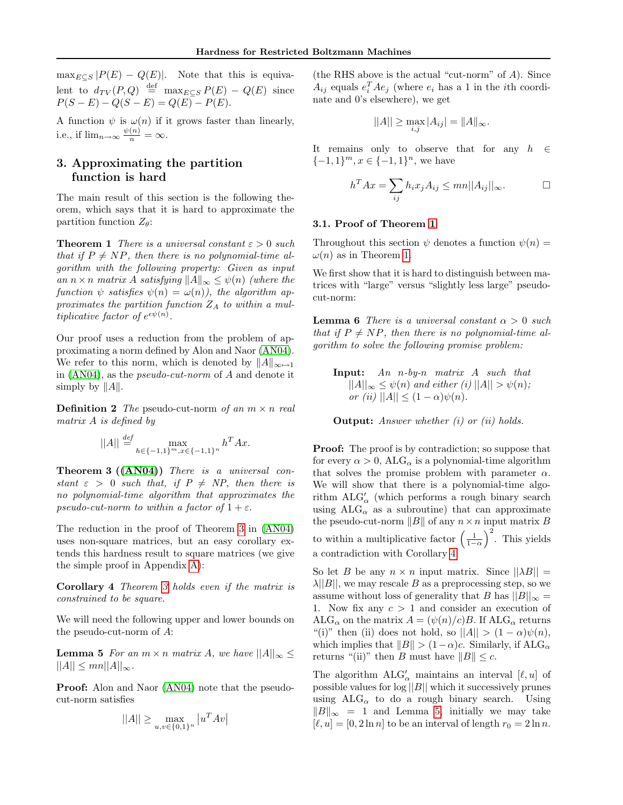$\max_{E \subseteq S} |P(E) - Q(E)|$ . Note that this is equivalent to  $d_{TV}(P,Q) \stackrel{\text{def}}{=} \max_{E \subseteq S} P(E) - Q(E)$  since  $P(S - E) - Q(S - E) = Q(E) - P(E).$ 

A function  $\psi$  is  $\omega(n)$  if it grows faster than linearly, i.e., if  $\lim_{n\to\infty} \frac{\psi(n)}{n} = \infty$ .

# <span id="page-2-1"></span>3. Approximating the partition function is hard

The main result of this section is the following theorem, which says that it is hard to approximate the partition function  $Z_{\theta}$ :

<span id="page-2-0"></span>**Theorem 1** There is a universal constant  $\varepsilon > 0$  such that if  $P \neq NP$ , then there is no polynomial-time algorithm with the following property: Given as input an  $n \times n$  matrix A satisfying  $||A||_{\infty} \leq \psi(n)$  (where the function  $\psi$  satisfies  $\psi(n) = \omega(n)$ , the algorithm approximates the partition function  $Z_A$  to within a multiplicative factor of  $e^{\epsilon \psi(n)}$ .

Our proof uses a reduction from the problem of approximating a norm defined by Alon and Naor [\(AN04\)](#page-6-2). We refer to this norm, which is denoted by  $||A||_{\infty\mapsto 1}$ in [\(AN04\)](#page-6-2), as the pseudo-cut-norm of A and denote it simply by  $||A||$ .

**Definition 2** The pseudo-cut-norm of an  $m \times n$  real matrix A is defined by

$$
||A|| \stackrel{def}{=} \max_{h \in \{-1,1\}^m, x \in \{-1,1\}^n} h^T A x.
$$

<span id="page-2-3"></span>Theorem 3 ([\(AN04\)](#page-6-2)) There is a universal constant  $\varepsilon > 0$  such that, if  $P \neq NP$ , then there is no polynomial-time algorithm that approximates the pseudo-cut-norm to within a factor of  $1 + \varepsilon$ .

The reduction in the proof of Theorem [3](#page-2-3) in [\(AN04\)](#page-6-2) uses non-square matrices, but an easy corollary extends this hardness result to square matrices (we give the simple proof in Appendix [A\)](#page-7-11):

Corollary 4 Theorem [3](#page-2-3) holds even if the matrix is constrained to be square.

We will need the following upper and lower bounds on the pseudo-cut-norm of A:

<span id="page-2-5"></span>**Lemma 5** For an  $m \times n$  matrix A, we have  $||A||_{\infty} \le$  $||A|| \leq mn||A||_{\infty}.$ 

Proof: Alon and Naor [\(AN04\)](#page-6-2) note that the pseudocut-norm satisfies

$$
||A|| \ge \max_{u,v \in \{0,1\}^n} |u^T A v|
$$

(the RHS above is the actual "cut-norm" of A). Since  $A_{ij}$  equals  $e_i^T A e_j$  (where  $e_i$  has a 1 in the *i*th coordinate and 0's elsewhere), we get

$$
||A|| \ge \max_{i,j} |A_{ij}| = ||A||_{\infty}.
$$

It remains only to observe that for any  $h \in$  $\{-1,1\}^m$ ,  $x \in \{-1,1\}^n$ , we have

$$
h^T A x = \sum_{ij} h_i x_j A_{ij} \leq m n ||A_{ij}||_{\infty}.
$$

#### 3.1. Proof of Theorem [1](#page-2-0)

Throughout this section  $\psi$  denotes a function  $\psi(n)$  =  $\omega(n)$  as in Theorem [1.](#page-2-0)

We first show that it is hard to distinguish between matrices with "large" versus "slightly less large" pseudocut-norm:

<span id="page-2-2"></span>**Lemma 6** There is a universal constant  $\alpha > 0$  such that if  $P \neq NP$ , then there is no polynomial-time algorithm to solve the following promise problem:

Input: An n-by-n matrix A such that  $||A||_{\infty} \leq \psi(n)$  and either (i)  $||A|| > \psi(n)$ ; or (ii)  $||A|| \leq (1 - \alpha)\psi(n)$ .

**Output:** Answer whether  $(i)$  or  $(ii)$  holds.

**Proof:** The proof is by contradiction; so suppose that for every  $\alpha > 0$ , ALG<sub> $\alpha$ </sub> is a polynomial-time algorithm that solves the promise problem with parameter  $\alpha$ . We will show that there is a polynomial-time algorithm $\mathrm{ALG}_\alpha'$  (which performs a rough binary search using  $ALG_{\alpha}$  as a subroutine) that can approximate the pseudo-cut-norm  $||B||$  of any  $n \times n$  input matrix B to within a multiplicative factor  $\left(\frac{1}{1-\alpha}\right)^2$ . This yields a contradiction with Corollary [4.](#page-2-4)

<span id="page-2-4"></span>So let B be any  $n \times n$  input matrix. Since  $||\lambda B|| =$  $\lambda ||B||$ , we may rescale B as a preprocessing step, so we assume without loss of generality that B has  $||B||_{\infty} =$ 1. Now fix any  $c > 1$  and consider an execution of  $ALG_{\alpha}$  on the matrix  $A = (\psi(n)/c)B$ . If  $ALG_{\alpha}$  returns "(i)" then (ii) does not hold, so  $||A|| > (1 - \alpha)\psi(n)$ , which implies that  $||B|| > (1-\alpha)c$ . Similarly, if ALG<sub>α</sub> returns "(ii)" then B must have  $||B|| \leq c$ .

The algorithm  $ALG'_{\alpha}$  maintains an interval  $[\ell, u]$  of possible values for  $log ||B||$  which it successively prunes using  $ALG_{\alpha}$  to do a rough binary search. Using  $||B||_{\infty} = 1$  and Lemma [5,](#page-2-5) initially we may take  $[\ell, u] = [0, 2 \ln n]$  to be an interval of length  $r_0 = 2 \ln n$ .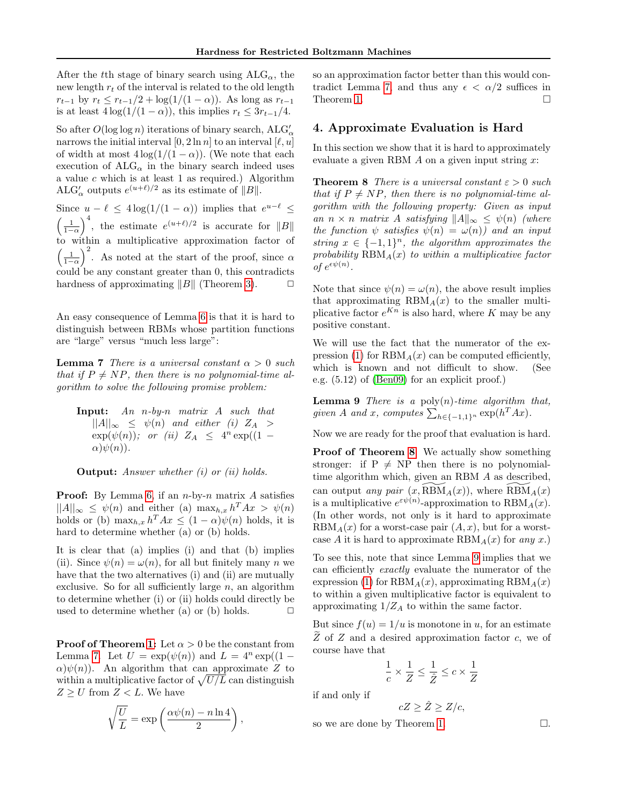After the tth stage of binary search using  $ALG_{\alpha}$ , the new length  $r_t$  of the interval is related to the old length  $r_{t-1}$  by  $r_t \leq r_{t-1}/2 + \log(1/(1-\alpha))$ . As long as  $r_{t-1}$ is at least  $4\log(1/(1-\alpha))$ , this implies  $r_t \leq 3r_{t-1}/4$ .

So after  $O(\log \log n)$  iterations of binary search,  $\text{ALG}'_{\alpha}$ narrows the initial interval  $[0, 2 \ln n]$  to an interval  $[\ell, u]$ of width at most  $4\log(1/(1-\alpha))$ . (We note that each execution of  $ALG_{\alpha}$  in the binary search indeed uses a value  $c$  which is at least 1 as required.) Algorithm ALG'<sub> $\alpha$ </sub> outputs  $e^{(u+\ell)/2}$  as its estimate of  $||B||$ .

Since  $u - \ell \leq 4 \log(1/(1 - \alpha))$  implies that  $e^{u-\ell} \leq$  $\left(\frac{1}{1-\alpha}\right)^4$ , the estimate  $e^{(u+\ell)/2}$  is accurate for  $||B||$ to within a multiplicative approximation factor of  $\left(\frac{1}{1-\alpha}\right)^2$ . As noted at the start of the proof, since  $\alpha$ could be any constant greater than 0, this contradicts hardness of approximating  $||B||$  (Theorem [3\)](#page-2-3).  $\Box$ 

An easy consequence of Lemma [6](#page-2-2) is that it is hard to distinguish between RBMs whose partition functions are "large" versus "much less large":

<span id="page-3-2"></span>**Lemma 7** There is a universal constant  $\alpha > 0$  such that if  $P \neq NP$ , then there is no polynomial-time algorithm to solve the following promise problem:

Input: An n-by-n matrix A such that  $||A||_{\infty} \leq \psi(n)$  and either (i)  $Z_A >$  $\exp(\psi(n))$ ; or (ii)  $Z_A \leq 4^n \exp((1 \alpha$ ) $\psi(n)$ ).

**Output:** Answer whether (i) or (ii) holds.

**Proof:** By Lemma [6,](#page-2-2) if an  $n$ -by- $n$  matrix A satisfies  $||A||_{\infty} \leq \psi(n)$  and either (a)  $\max_{h,x} h^T A x > \psi(n)$ holds or (b)  $\max_{h,x} h^T A x \leq (1-\alpha)\psi(n)$  holds, it is hard to determine whether (a) or (b) holds.

It is clear that (a) implies (i) and that (b) implies (ii). Since  $\psi(n) = \omega(n)$ , for all but finitely many n we have that the two alternatives (i) and (ii) are mutually exclusive. So for all sufficiently large  $n$ , an algorithm to determine whether (i) or (ii) holds could directly be used to determine whether (a) or (b) holds.  $\Box$ 

**Proof of Theorem [1:](#page-2-0)** Let  $\alpha > 0$  be the constant from Lemma [7.](#page-3-2) Let  $U = \exp(\psi(n))$  and  $L = 4^n \exp((1 \alpha$ ) $\psi(n)$ ). An algorithm that can approximate Z to within a multiplicative factor of  $\sqrt{U/L}$  can distinguish  $Z \geq U$  from  $Z < L.$  We have

$$
\sqrt{\frac{U}{L}} = \exp\left(\frac{\alpha \psi(n) - n \ln 4}{2}\right),\,
$$

so an approximation factor better than this would con-tradict Lemma [7,](#page-3-2) and thus any  $\epsilon < \alpha/2$  suffices in Theorem [1.](#page-2-0)

### <span id="page-3-1"></span>4. Approximate Evaluation is Hard

In this section we show that it is hard to approximately evaluate a given RBM  $\Lambda$  on a given input string  $x$ :

<span id="page-3-0"></span>**Theorem 8** There is a universal constant  $\varepsilon > 0$  such that if  $P \neq NP$ , then there is no polynomial-time algorithm with the following property: Given as input an  $n \times n$  matrix A satisfying  $||A||_{\infty} \leq \psi(n)$  (where the function  $\psi$  satisfies  $\psi(n) = \omega(n)$  and an input string  $x \in \{-1,1\}^n$ , the algorithm approximates the probability  $RBM_A(x)$  to within a multiplicative factor of  $e^{\epsilon \psi(n)}$ .

Note that since  $\psi(n) = \omega(n)$ , the above result implies that approximating  $RBM<sub>A</sub>(x)$  to the smaller multiplicative factor  $e^{Kn}$  is also hard, where K may be any positive constant.

<span id="page-3-3"></span>We will use the fact that the numerator of the ex-pression [\(1\)](#page-0-0) for  $RBM<sub>A</sub>(x)$  can be computed efficiently, which is known and not difficult to show. (See e.g. (5.12) of [\(Ben09\)](#page-6-0) for an explicit proof.)

**Lemma 9** There is a poly $(n)$ -time algorithm that, given A and x, computes  $\sum_{h \in \{-1,1\}^n} \exp(h^T Ax)$ .

Now we are ready for the proof that evaluation is hard.

Proof of Theorem [8](#page-3-0): We actually show something stronger: if  $P \neq NP$  then there is no polynomialtime algorithm which, given an RBM A as described, can output any pair  $(x, \text{RBM}_A(x))$ , where  $\text{RBM}_A(x)$ is a multiplicative  $e^{\varepsilon \psi(n)}$ -approximation to  $\text{RBM}_A(x)$ . (In other words, not only is it hard to approximate  $RBM<sub>A</sub>(x)$  for a worst-case pair  $(A, x)$ , but for a worstcase A it is hard to approximate  $\text{RBM}_A(x)$  for any x.)

To see this, note that since Lemma [9](#page-3-3) implies that we can efficiently exactly evaluate the numerator of the expression [\(1\)](#page-0-0) for  $RBM_A(x)$ , approximating  $RBM_A(x)$ to within a given multiplicative factor is equivalent to approximating  $1/Z_A$  to within the same factor.

But since  $f(u) = 1/u$  is monotone in u, for an estimate  $\widetilde{Z}$  of  $Z$  and a desired approximation factor c, we of course have that

$$
\frac{1}{c} \times \frac{1}{Z} \le \frac{1}{\hat{Z}} \le c \times \frac{1}{Z}
$$

if and only if

$$
cZ \geq \hat{Z} \geq Z/c,
$$

so we are done by Theorem [1.](#page-2-0)  $\Box$ .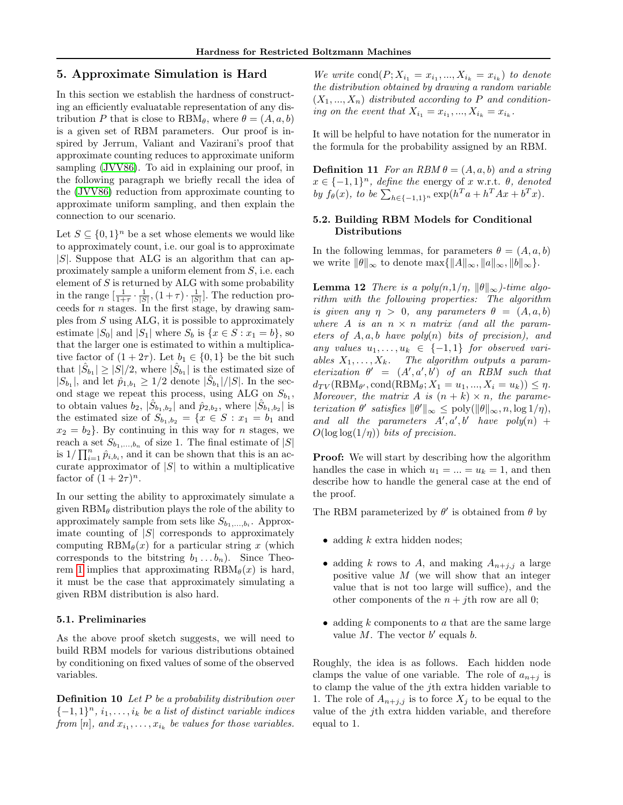### <span id="page-4-0"></span>5. Approximate Simulation is Hard

In this section we establish the hardness of constructing an efficiently evaluatable representation of any distribution P that is close to  $RBM_{\theta}$ , where  $\theta = (A, a, b)$ is a given set of RBM parameters. Our proof is inspired by Jerrum, Valiant and Vazirani's proof that approximate counting reduces to approximate uniform sampling [\(JVV86\)](#page-7-10). To aid in explaining our proof, in the following paragraph we briefly recall the idea of the [\(JVV86\)](#page-7-10) reduction from approximate counting to approximate uniform sampling, and then explain the connection to our scenario.

Let  $S \subseteq \{0,1\}^n$  be a set whose elements we would like to approximately count, i.e. our goal is to approximate  $|S|$ . Suppose that ALG is an algorithm that can approximately sample a uniform element from  $S$ , i.e. each element of  $S$  is returned by ALG with some probability in the range  $\left[\frac{1}{1+\tau}\cdot\frac{1}{|S|},(1+\tau)\cdot\frac{1}{|S|}\right]$ . The reduction proceeds for n stages. In the first stage, by drawing samples from S using ALG, it is possible to approximately estimate  $|S_0|$  and  $|S_1|$  where  $S_b$  is  $\{x \in S : x_1 = b\}$ , so that the larger one is estimated to within a multiplicative factor of  $(1+2\tau)$ . Let  $b_1 \in \{0,1\}$  be the bit such that  $|\hat{S}_{b_1}| \geq |\hat{S}|/2$ , where  $|\hat{S}_{b_1}|$  is the estimated size of  $|S_{b_1}|$ , and let  $\hat{p}_{1,b_1} \geq 1/2$  denote  $|\hat{S}_{b_1}|/|S|$ . In the second stage we repeat this process, using ALG on  $S_{b_1}$ , to obtain values  $b_2$ ,  $|\hat{S}_{b_1,b_2}|$  and  $\hat{p}_{2,b_2}$ , where  $|\hat{S}_{b_1,b_2}|$  is the estimated size of  $S_{b_1,b_2} = \{x \in S : x_1 = b_1 \text{ and }$  $x_2 = b_2$ . By continuing in this way for *n* stages, we reach a set  $S_{b_1,...,b_n}$  of size 1. The final estimate of  $|S|$ is  $1/\prod_{i=1}^{n} \hat{p}_{i,b_i}$ , and it can be shown that this is an accurate approximator of  $|S|$  to within a multiplicative factor of  $(1+2\tau)^n$ .

In our setting the ability to approximately simulate a given  $RBM_{\theta}$  distribution plays the role of the ability to approximately sample from sets like  $S_{b_1,\ldots,b_i}$ . Approximate counting of  $|S|$  corresponds to approximately computing  $RBM_{\theta}(x)$  for a particular string x (which corresponds to the bitstring  $b_1 \ldots b_n$ ). Since Theo-rem [1](#page-2-0) implies that approximating  $RBM_{\theta}(x)$  is hard, it must be the case that approximately simulating a given RBM distribution is also hard.

#### 5.1. Preliminaries

As the above proof sketch suggests, we will need to build RBM models for various distributions obtained by conditioning on fixed values of some of the observed variables.

**Definition 10** Let  $P$  be a probability distribution over  ${-1, 1}^n$ ,  $i_1, \ldots, i_k$  be a list of distinct variable indices from  $[n]$ , and  $x_{i_1}, \ldots, x_{i_k}$  be values for those variables.

We write  $\text{cond}(P; X_{i_1} = x_{i_1}, ..., X_{i_k} = x_{i_k})$  to denote the distribution obtained by drawing a random variable  $(X_1, ..., X_n)$  distributed according to P and conditioning on the event that  $X_{i_1} = x_{i_1}, ..., X_{i_k} = x_{i_k}$ .

It will be helpful to have notation for the numerator in the formula for the probability assigned by an RBM.

**Definition 11** For an RBM  $\theta = (A, a, b)$  and a string  $x \in \{-1,1\}^n$ , define the energy of x w.r.t.  $\theta$ , denoted by  $f_{\theta}(x)$ , to be  $\sum_{h \in \{-1,1\}^n} \exp(h^T a + h^T A x + b^T x)$ .

### 5.2. Building RBM Models for Conditional Distributions

In the following lemmas, for parameters  $\theta = (A, a, b)$ we write  $||\theta||_{\infty}$  to denote  $\max\{||A||_{\infty}, ||a||_{\infty}, ||b||_{\infty}\}.$ 

<span id="page-4-1"></span>**Lemma 12** There is a poly $(n,1/\eta, \|\theta\|_{\infty})$ -time algorithm with the following properties: The algorithm is given any  $\eta > 0$ , any parameters  $\theta = (A, a, b)$ where A is an  $n \times n$  matrix (and all the parameters of  $A, a, b$  have poly $(n)$  bits of precision), and any values  $u_1, \ldots, u_k \in \{-1,1\}$  for observed variables  $X_1, \ldots, X_k$ . The algorithm outputs a parameterization  $\theta' = (A', a', b')$  of an RBM such that  $d_{TV}(\text{RBM}_{\theta'}, \text{cond}(\text{RBM}_{\theta}; X_1 = u_1, ..., X_i = u_k)) \leq \eta.$ Moreover, the matrix A is  $(n + k) \times n$ , the parameterization  $\theta'$  satisfies  $\|\theta'\|_{\infty} \leq \text{poly}(\|\theta\|_{\infty}, n, \log 1/\eta),$ and all the parameters  $A', a', b'$  have  $poly(n)$  +  $O(\log \log(1/\eta))$  bits of precision.

**Proof:** We will start by describing how the algorithm handles the case in which  $u_1 = ... = u_k = 1$ , and then describe how to handle the general case at the end of the proof.

The RBM parameterized by  $\theta'$  is obtained from  $\theta$  by

- adding  $k$  extra hidden nodes;
- adding k rows to A, and making  $A_{n+j,j}$  a large positive value  $M$  (we will show that an integer value that is not too large will suffice), and the other components of the  $n + i$ th row are all 0;
- adding  $k$  components to  $a$  that are the same large value  $M$ . The vector  $b'$  equals  $b$ .

Roughly, the idea is as follows. Each hidden node clamps the value of one variable. The role of  $a_{n+j}$  is to clamp the value of the jth extra hidden variable to 1. The role of  $A_{n+j,j}$  is to force  $X_j$  to be equal to the value of the jth extra hidden variable, and therefore equal to 1.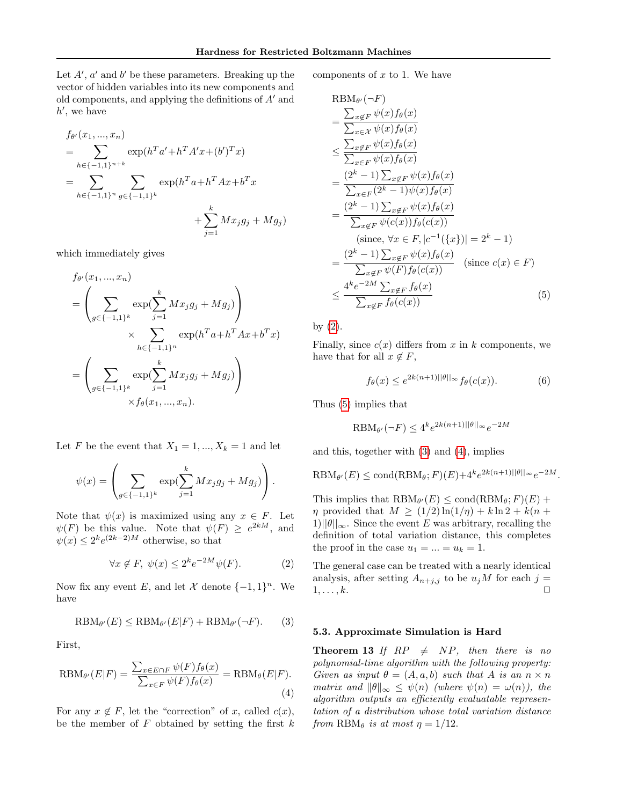Let  $A'$ ,  $a'$  and  $b'$  be these parameters. Breaking up the vector of hidden variables into its new components and old components, and applying the definitions of  $A'$  and  $h'$ , we have

$$
f_{\theta'}(x_1, ..., x_n)
$$
  
= 
$$
\sum_{h \in \{-1,1\}^{n+k}} \exp(h^T a' + h^T A' x + (b')^T x)
$$
  
= 
$$
\sum_{h \in \{-1,1\}^n} \sum_{g \in \{-1,1\}^k} \exp(h^T a + h^T A x + b^T x + \sum_{j=1}^k M x_j g_j + M g_j)
$$

which immediately gives

 $\epsilon$ 

$$
f_{\theta'}(x_1, ..., x_n)
$$
  
=  $\left(\sum_{g \in \{-1,1\}^k} \exp(\sum_{j=1}^k Mx_jg_j + Mg_j)\right)$   
 $\times \sum_{h \in \{-1,1\}^n} \exp(h^T a + h^T A x + b^T x)$   
=  $\left(\sum_{g \in \{-1,1\}^k} \exp(\sum_{j=1}^k Mx_jg_j + Mg_j)\right)$   
 $\times f_{\theta}(x_1, ..., x_n).$ 

Let F be the event that  $X_1 = 1, ..., X_k = 1$  and let

$$
\psi(x) = \left( \sum_{g \in \{-1,1\}^k} \exp(\sum_{j=1}^k Mx_j g_j + Mg_j) \right).
$$

Note that  $\psi(x)$  is maximized using any  $x \in F$ . Let  $\psi(F)$  be this value. Note that  $\psi(F) \geq e^{2kM}$ , and  $\psi(x) \leq 2^k e^{(2k-2)M}$  otherwise, so that

<span id="page-5-1"></span>
$$
\forall x \notin F, \ \psi(x) \le 2^k e^{-2M} \psi(F). \tag{2}
$$

Now fix any event E, and let X denote  $\{-1,1\}^n$ . We have

<span id="page-5-3"></span>
$$
\text{RBM}_{\theta'}(E) \leq \text{RBM}_{\theta'}(E|F) + \text{RBM}_{\theta'}(\neg F). \tag{3}
$$

First,

<span id="page-5-4"></span>
$$
\text{RBM}_{\theta'}(E|F) = \frac{\sum_{x \in E \cap F} \psi(F) f_{\theta}(x)}{\sum_{x \in F} \psi(F) f_{\theta}(x)} = \text{RBM}_{\theta}(E|F). \tag{4}
$$

For any  $x \notin F$ , let the "correction" of x, called  $c(x)$ , be the member of  $F$  obtained by setting the first  $k$  components of  $x$  to 1. We have

<span id="page-5-2"></span>
$$
\begin{split}\n\text{RBM}_{\theta'}(\neg F) \\
&= \frac{\sum_{x \notin F} \psi(x) f_{\theta}(x)}{\sum_{x \in \mathcal{X}} \psi(x) f_{\theta}(x)} \\
&\leq \frac{\sum_{x \notin F} \psi(x) f_{\theta}(x)}{\sum_{x \in F} \psi(x) f_{\theta}(x)} \\
&= \frac{(2^k - 1) \sum_{x \notin F} \psi(x) f_{\theta}(x)}{\sum_{x \in F} (2^k - 1) \psi(x) f_{\theta}(x)} \\
&= \frac{(2^k - 1) \sum_{x \notin F} \psi(x) f_{\theta}(x)}{\sum_{x \notin F} \psi(c(x)) f_{\theta}(c(x))} \\
&\quad \text{(since, } \forall x \in F, |c^{-1}(\{x\})| = 2^k - 1) \\
&= \frac{(2^k - 1) \sum_{x \notin F} \psi(x) f_{\theta}(x)}{\sum_{x \notin F} \psi(F) f_{\theta}(c(x))} \quad \text{(since } c(x) \in F) \\
&\leq \frac{4^k e^{-2M} \sum_{x \notin F} f_{\theta}(x)}{\sum_{x \notin F} f_{\theta}(c(x))} \tag{5}\n\end{split}
$$

by [\(2\)](#page-5-1).

Finally, since  $c(x)$  differs from x in k components, we have that for all  $x \notin F$ ,

$$
f_{\theta}(x) \le e^{2k(n+1)||\theta||_{\infty}} f_{\theta}(c(x)). \tag{6}
$$

Thus [\(5\)](#page-5-2) implies that

$$
\text{RBM}_{\theta'}(\neg F) \le 4^k e^{2k(n+1)||\theta||_{\infty}} e^{-2M}
$$

and this, together with [\(3\)](#page-5-3) and [\(4\)](#page-5-4), implies

$$
\text{RBM}_{\theta'}(E) \leq \text{cond}(\text{RBM}_{\theta}; F)(E) + 4^k e^{2k(n+1)||\theta||_{\infty}} e^{-2M}.
$$

This implies that  $RBM_{\theta'}(E) \leq \text{cond}(RBM_{\theta}; F)(E) +$  $\eta$  provided that  $M \geq (1/2) \ln(1/\eta) + k \ln 2 + k(n +$  $1||\theta||_{\infty}$ . Since the event E was arbitrary, recalling the definition of total variation distance, this completes the proof in the case  $u_1 = ... = u_k = 1$ .

The general case can be treated with a nearly identical analysis, after setting  $A_{n+j,j}$  to be  $u_jM$  for each  $j=$  $1, \ldots, k.$ 

### 5.3. Approximate Simulation is Hard

<span id="page-5-0"></span>**Theorem 13** If  $RP \neq NP$ , then there is no polynomial-time algorithm with the following property: Given as input  $\theta = (A, a, b)$  such that A is an  $n \times n$ matrix and  $\|\theta\|_{\infty} \leq \psi(n)$  (where  $\psi(n) = \omega(n)$ ), the algorithm outputs an efficiently evaluatable representation of a distribution whose total variation distance from  $RBM_{\theta}$  is at most  $\eta = 1/12$ .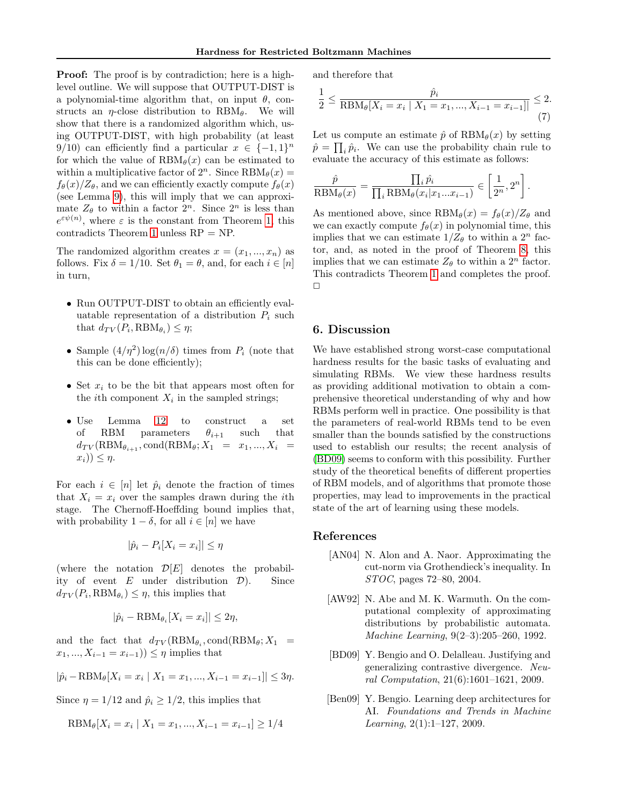**Proof:** The proof is by contradiction; here is a highlevel outline. We will suppose that OUTPUT-DIST is a polynomial-time algorithm that, on input  $\theta$ , constructs an  $\eta$ -close distribution to RBM $_{\theta}$ . We will show that there is a randomized algorithm which, using OUTPUT-DIST, with high probability (at least 9/10) can efficiently find a particular  $x \in \{-1,1\}^n$ for which the value of  $RBM_{\theta}(x)$  can be estimated to within a multiplicative factor of  $2^n$ . Since  $RBM_{\theta}(x) =$  $f_{\theta}(x)/Z_{\theta}$ , and we can efficiently exactly compute  $f_{\theta}(x)$ (see Lemma [9\)](#page-3-3), this will imply that we can approximate  $Z_{\theta}$  to within a factor  $2^{n}$ . Since  $2^{n}$  is less than  $e^{\varepsilon\psi(n)}$ , where  $\varepsilon$  is the constant from Theorem [1,](#page-2-0) this contradicts Theorem [1](#page-2-0) unless RP = NP.

The randomized algorithm creates  $x = (x_1, ..., x_n)$  as follows. Fix  $\delta = 1/10$ . Set  $\theta_1 = \theta$ , and, for each  $i \in [n]$ in turn,

- Run OUTPUT-DIST to obtain an efficiently evaluatable representation of a distribution  $P_i$  such that  $d_{TV}(P_i, RBM_{\theta_i}) \leq \eta;$
- Sample  $(4/\eta^2) \log(n/\delta)$  times from  $P_i$  (note that this can be done efficiently);
- Set  $x_i$  to be the bit that appears most often for the *i*th component  $X_i$  in the sampled strings;
- Use Lemma [12](#page-4-1) to construct a set of RBM parameters  $\theta_{i+1}$  such that  $d_{TV}(\text{RBM}_{\theta_{i+1}}, \text{cond}(\text{RBM}_{\theta}; X_1 = x_1, ..., X_i)$  $x_i)$ )  $\leq \eta$ .

For each  $i \in [n]$  let  $\hat{p}_i$  denote the fraction of times that  $X_i = x_i$  over the samples drawn during the *i*th stage. The Chernoff-Hoeffding bound implies that, with probability  $1 - \delta$ , for all  $i \in [n]$  we have

$$
|\hat{p}_i - P_i[X_i = x_i]| \le \eta
$$

(where the notation  $\mathcal{D}[E]$  denotes the probability of event  $E$  under distribution  $D$ ). Since  $d_{TV}(P_i, RBM_{\theta_i}) \leq \eta$ , this implies that

$$
|\hat{p}_i - \text{RBM}_{\theta_i}[X_i = x_i]| \le 2\eta,
$$

and the fact that  $d_{TV}(\text{RBM}_{\theta_i}, \text{cond}(\text{RBM}_{\theta}; X_1))$  $x_1, ..., X_{i-1} = x_{i-1})$ ) ≤  $\eta$  implies that

$$
|\hat{p}_i - \text{RBM}_{\theta}[X_i = x_i \mid X_1 = x_1, ..., X_{i-1} = x_{i-1}]| \le 3\eta.
$$

Since  $\eta = 1/12$  and  $\hat{p}_i \geq 1/2$ , this implies that

$$
RBM_{\theta}[X_i = x_i \mid X_1 = x_1, ..., X_{i-1} = x_{i-1}] \ge 1/4
$$

and therefore that

$$
\frac{1}{2} \le \frac{\hat{p}_i}{\text{RBM}_{\theta}[X_i = x_i \mid X_1 = x_1, ..., X_{i-1} = x_{i-1}]]} \le 2. \tag{7}
$$

Let us compute an estimate  $\hat{p}$  of  $RBM_{\theta}(x)$  by setting  $\hat{p} = \prod_i \hat{p}_i$ . We can use the probability chain rule to evaluate the accuracy of this estimate as follows:

$$
\frac{\hat{p}}{\text{RBM}_{\theta}(x)} = \frac{\prod_{i} \hat{p}_{i}}{\prod_{i} \text{RBM}_{\theta}(x_{i}|x_{1}...x_{i-1})} \in \left[\frac{1}{2^{n}}, 2^{n}\right].
$$

As mentioned above, since  $RBM_{\theta}(x) = f_{\theta}(x)/Z_{\theta}$  and we can exactly compute  $f_{\theta}(x)$  in polynomial time, this implies that we can estimate  $1/Z_{\theta}$  to within a  $2^{n}$  factor, and, as noted in the proof of Theorem [8,](#page-3-0) this implies that we can estimate  $Z_{\theta}$  to within a  $2^{n}$  factor. This contradicts Theorem [1](#page-2-0) and completes the proof.  $\Box$ 

### 6. Discussion

We have established strong worst-case computational hardness results for the basic tasks of evaluating and simulating RBMs. We view these hardness results as providing additional motivation to obtain a comprehensive theoretical understanding of why and how RBMs perform well in practice. One possibility is that the parameters of real-world RBMs tend to be even smaller than the bounds satisfied by the constructions used to establish our results; the recent analysis of [\(BD09\)](#page-6-3) seems to conform with this possibility. Further study of the theoretical benefits of different properties of RBM models, and of algorithms that promote those properties, may lead to improvements in the practical state of the art of learning using these models.

#### References

- <span id="page-6-2"></span>[AN04] N. Alon and A. Naor. Approximating the cut-norm via Grothendieck's inequality. In STOC, pages 72–80, 2004.
- <span id="page-6-1"></span>[AW92] N. Abe and M. K. Warmuth. On the computational complexity of approximating distributions by probabilistic automata. Machine Learning, 9(2–3):205–260, 1992.
- <span id="page-6-3"></span>[BD09] Y. Bengio and O. Delalleau. Justifying and generalizing contrastive divergence. Neural Computation, 21(6):1601–1621, 2009.
- <span id="page-6-0"></span>[Ben09] Y. Bengio. Learning deep architectures for AI. Foundations and Trends in Machine Learning, 2(1):1–127, 2009.